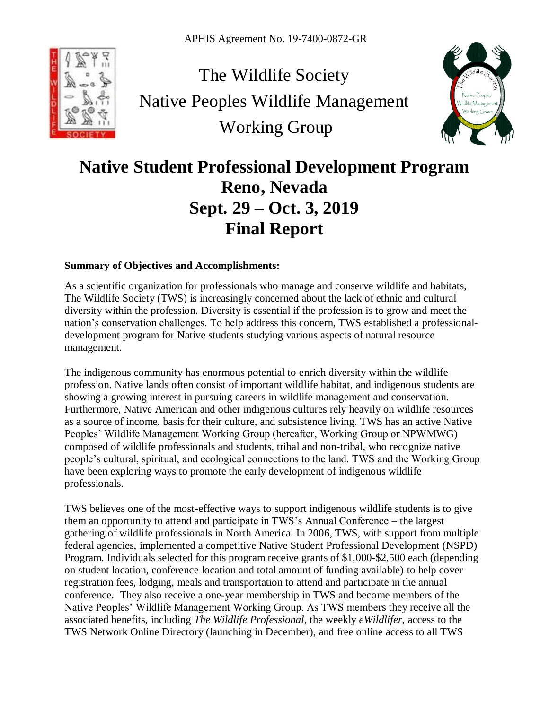

The Wildlife Society Native Peoples Wildlife Management Working Group



# **Native Student Professional Development Program Reno, Nevada Sept. 29 – Oct. 3, 2019 Final Report**

## **Summary of Objectives and Accomplishments:**

As a scientific organization for professionals who manage and conserve wildlife and habitats, The Wildlife Society (TWS) is increasingly concerned about the lack of ethnic and cultural diversity within the profession. Diversity is essential if the profession is to grow and meet the nation's conservation challenges. To help address this concern, TWS established a professionaldevelopment program for Native students studying various aspects of natural resource management.

The indigenous community has enormous potential to enrich diversity within the wildlife profession. Native lands often consist of important wildlife habitat, and indigenous students are showing a growing interest in pursuing careers in wildlife management and conservation. Furthermore, Native American and other indigenous cultures rely heavily on wildlife resources as a source of income, basis for their culture, and subsistence living. TWS has an active Native Peoples' Wildlife Management Working Group (hereafter, Working Group or NPWMWG) composed of wildlife professionals and students, tribal and non-tribal, who recognize native people's cultural, spiritual, and ecological connections to the land. TWS and the Working Group have been exploring ways to promote the early development of indigenous wildlife professionals.

TWS believes one of the most-effective ways to support indigenous wildlife students is to give them an opportunity to attend and participate in TWS's Annual Conference – the largest gathering of wildlife professionals in North America. In 2006, TWS, with support from multiple federal agencies, implemented a competitive Native Student Professional Development (NSPD) Program. Individuals selected for this program receive grants of \$1,000-\$2,500 each (depending on student location, conference location and total amount of funding available) to help cover registration fees, lodging, meals and transportation to attend and participate in the annual conference. They also receive a one-year membership in TWS and become members of the Native Peoples' Wildlife Management Working Group. As TWS members they receive all the associated benefits, including *The Wildlife Professional*, the weekly *eWildlifer*, access to the TWS Network Online Directory (launching in December), and free online access to all TWS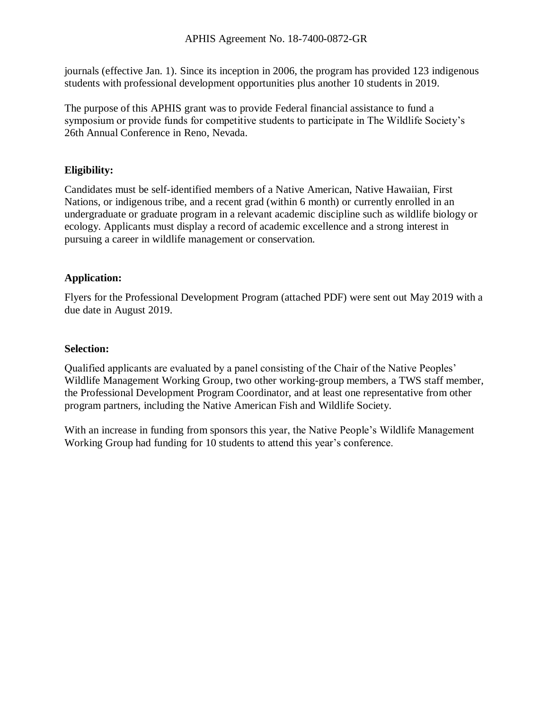journals (effective Jan. 1). Since its inception in 2006, the program has provided 123 indigenous students with professional development opportunities plus another 10 students in 2019.

The purpose of this APHIS grant was to provide Federal financial assistance to fund a symposium or provide funds for competitive students to participate in The Wildlife Society's 26th Annual Conference in Reno, Nevada.

# **Eligibility:**

Candidates must be self-identified members of a Native American, Native Hawaiian, First Nations, or indigenous tribe, and a recent grad (within 6 month) or currently enrolled in an undergraduate or graduate program in a relevant academic discipline such as wildlife biology or ecology. Applicants must display a record of academic excellence and a strong interest in pursuing a career in wildlife management or conservation.

## **Application:**

Flyers for the Professional Development Program (attached PDF) were sent out May 2019 with a due date in August 2019.

## **Selection:**

Qualified applicants are evaluated by a panel consisting of the Chair of the Native Peoples' Wildlife Management Working Group, two other working-group members, a TWS staff member, the Professional Development Program Coordinator, and at least one representative from other program partners, including the Native American Fish and Wildlife Society.

With an increase in funding from sponsors this year, the Native People's Wildlife Management Working Group had funding for 10 students to attend this year's conference.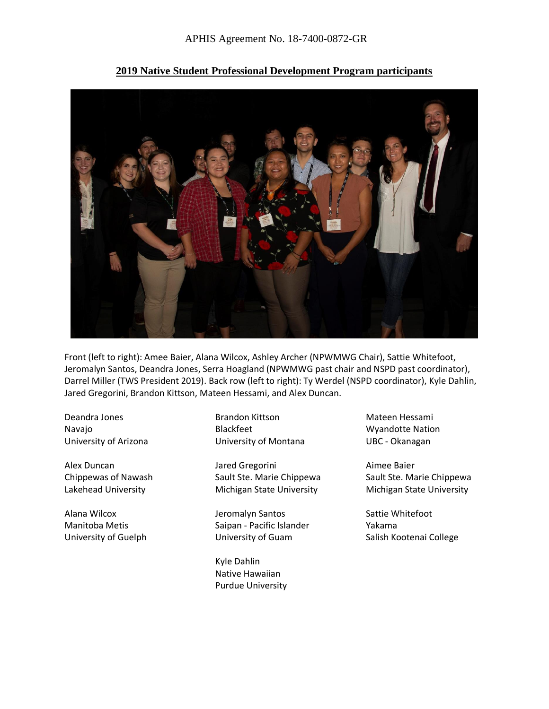

**2019 Native Student Professional Development Program participants**

Front (left to right): Amee Baier, Alana Wilcox, Ashley Archer (NPWMWG Chair), Sattie Whitefoot, Jeromalyn Santos, Deandra Jones, Serra Hoagland (NPWMWG past chair and NSPD past coordinator), Darrel Miller (TWS President 2019). Back row (left to right): Ty Werdel (NSPD coordinator), Kyle Dahlin, Jared Gregorini, Brandon Kittson, Mateen Hessami, and Alex Duncan.

Deandra Jones Navajo University of Arizona

Alex Duncan Chippewas of Nawash Lakehead University

Alana Wilcox Manitoba Metis University of Guelph Brandon Kittson Blackfeet University of Montana

Jared Gregorini Sault Ste. Marie Chippewa Michigan State University

Jeromalyn Santos Saipan - Pacific Islander University of Guam

Kyle Dahlin Native Hawaiian Purdue University

Mateen Hessami Wyandotte Nation UBC - Okanagan

Aimee Baier Sault Ste. Marie Chippewa Michigan State University

Sattie Whitefoot Yakama Salish Kootenai College